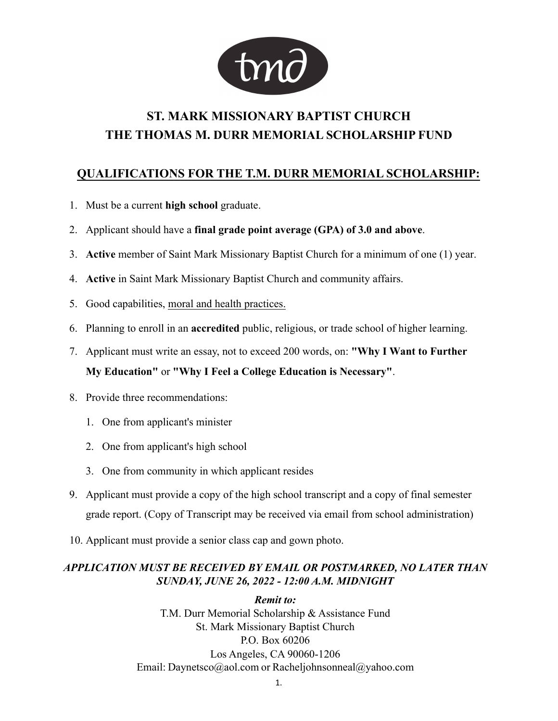

# **ST. MARK MISSIONARY BAPTIST CHURCH THE THOMAS M. DURR MEMORIAL SCHOLARSHIP FUND**

# **QUALIFICATIONS FOR THE T.M. DURR MEMORIAL SCHOLARSHIP:**

- Must be a current **high school** graduate.
- Applicant should have a **final grade point average (GPA) of 3.0 and above**.
- **Active** member of Saint Mark Missionary Baptist Church for a minimum of one (1) year.
- **Active** in Saint Mark Missionary Baptist Church and community affairs.
- 5. Good capabilities, moral and health practices.
- Planning to enroll in an **accredited** public, religious, or trade school of higher learning.
- Applicant must write an essay, not to exceed 200 words, on: **"Why I Want to Further My Education"** or **"Why I Feel a College Education is Necessary"**.
- Provide three recommendations:
	- One from applicant's minister
	- One from applicant's high school
	- One from community in which applicant resides
- Applicant must provide a copy of the high school transcript and a copy of final semester grade report. (Copy of Transcript may be received via email from school administration)
- 10. Applicant must provide a senior class cap and gown photo.

## *APPLICATION MUST BE RECEIVED%<(0\$,/OR POSTMARKED, NO LATER THAN SUNDAY, JUNE 2, 20 - 12:00 A.M. MIDNIGHT*

*Remit to:* T.M. Durr Memorial Scholarship & Assistance Fund St. Mark Missionary Baptist Church P.O. Box 60206 Los Angeles, CA 90060-1206 Email: Daynetsco@aol.com or Racheljohnsonneal@yahoo.com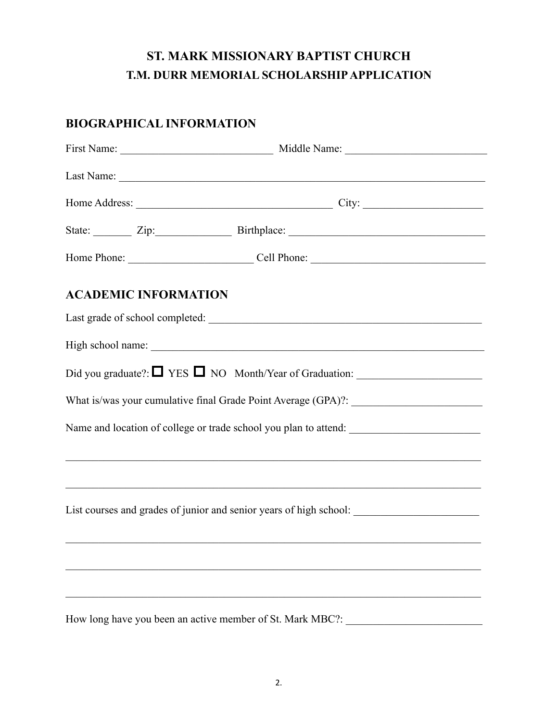# **ST. MARK MISSIONARY BAPTIST CHURCH T.M. DURR MEMORIAL SCHOLARSHIP APPLICATION**

# **BIOGRAPHICAL INFORMATION**

|  | State: <u>Zip: Zip: Birthplace:</u>                                               |  |  |  |  |  |  |  |  |  |  |
|--|-----------------------------------------------------------------------------------|--|--|--|--|--|--|--|--|--|--|
|  |                                                                                   |  |  |  |  |  |  |  |  |  |  |
|  | <b>ACADEMIC INFORMATION</b>                                                       |  |  |  |  |  |  |  |  |  |  |
|  |                                                                                   |  |  |  |  |  |  |  |  |  |  |
|  |                                                                                   |  |  |  |  |  |  |  |  |  |  |
|  | Did you graduate?: $\Box$ YES $\Box$ NO Month/Year of Graduation: $\Box$          |  |  |  |  |  |  |  |  |  |  |
|  | What is/was your cumulative final Grade Point Average (GPA)?: __________________  |  |  |  |  |  |  |  |  |  |  |
|  |                                                                                   |  |  |  |  |  |  |  |  |  |  |
|  | ,我们也不能在这里的人,我们也不能在这里的人,我们也不能在这里的人,我们也不能在这里的人,我们也不能在这里的人,我们也不能在这里的人,我们也不能在这里的人,我们也 |  |  |  |  |  |  |  |  |  |  |
|  |                                                                                   |  |  |  |  |  |  |  |  |  |  |
|  |                                                                                   |  |  |  |  |  |  |  |  |  |  |
|  |                                                                                   |  |  |  |  |  |  |  |  |  |  |
|  | How long have you been an active member of St. Mark MBC?:                         |  |  |  |  |  |  |  |  |  |  |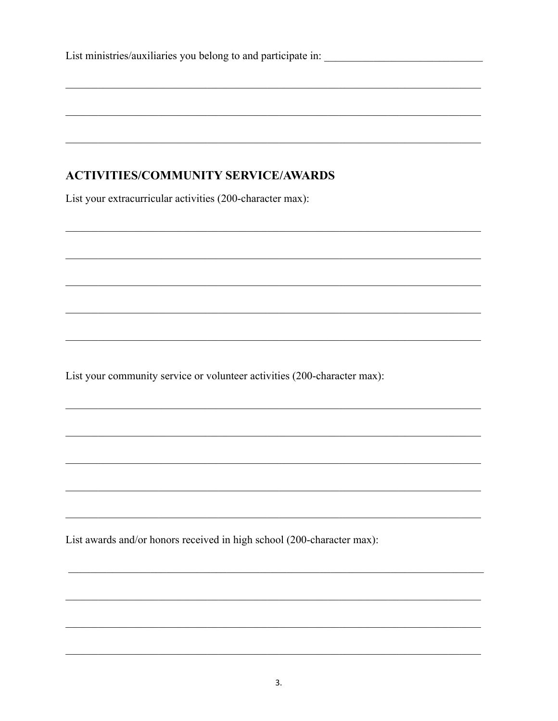|  |  |  |  | List ministries/auxiliaries you belong to and participate in: |  |  |  |
|--|--|--|--|---------------------------------------------------------------|--|--|--|
|  |  |  |  |                                                               |  |  |  |

# **ACTIVITIES/COMMUNITY SERVICE/AWARDS**

List your extracurricular activities (200-character max):

List your community service or volunteer activities (200-character max):

List awards and/or honors received in high school (200-character max):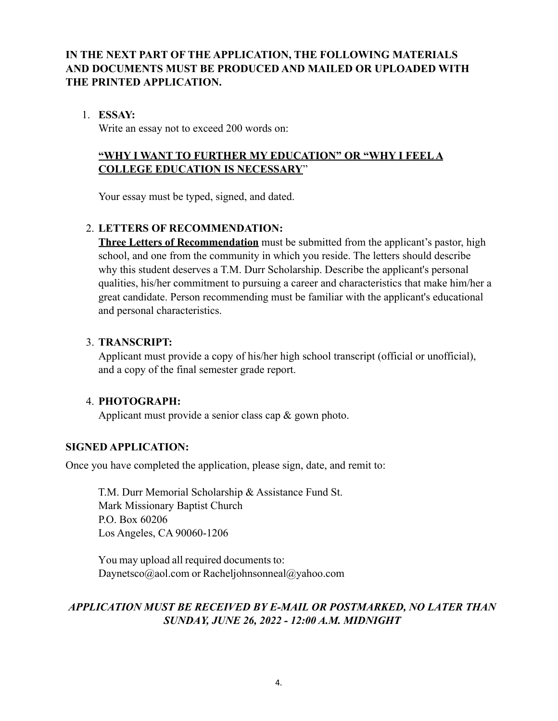## **IN THE NEXT PART OF THE APPLICATION, THE FOLLOWING MATERIALS AND DOCUMENTS MUST BE PRODUCED AND MAILED2583/2\$'(' WITH THE PRINTED APPLICATION.**

#### 1. **ESSAY:**

Write an essay not to exceed 200 words on:

## **"WHY I WANT TO FURTHER MY EDUCATION" OR "WHY I FEEL A COLLEGE EDUCATION IS NECESSARY**"

Your essay must be typed, signed, and dated.

## 2. **LETTERS OF RECOMMENDATION:**

**Three Letters of Recommendation** must be submitted from the applicant's pastor, high school, and one from the community in which you reside. The letters should describe why this student deserves a T.M. Durr Scholarship. Describe the applicant's personal qualities, his/her commitment to pursuing a career and characteristics that make him/her a great candidate. Person recommending must be familiar with the applicant's educational and personal characteristics.

#### 3. **TRANSCRIPT:**

Applicant must provide a copy of his/her high school transcript (official or unofficial), and a copy of the final semester grade report.

## 4. **PHOTOGRAPH:**

Applicant must provide a senior class cap & gown photo.

#### **SIGNED APPLICATION:**

Once you have completed the application, please sign, date, and remit to:

T.M. Durr Memorial Scholarship & Assistance Fund St. Mark Missionary Baptist Church P.O. Box 60206 Los Angeles, CA 90060-1206

You may upload all required documents to: Daynetsco@aol.com or Racheliohnsonneal@yahoo.com

## **APPLICATION MUST BE RECEIVED BY E-MAIL OR POSTMARKED, NO LATER THAN** *SUNDAY, JUNE 2, 20 - 12:00 A.M. MIDNIGHT*